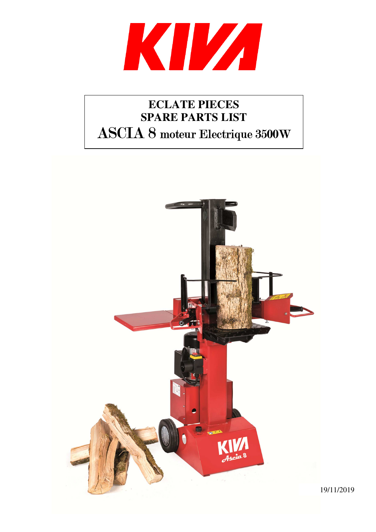

## **ECLATE PIECES SPARE PARTS LIST**  ASCIA 8 moteur Electrique 3500W

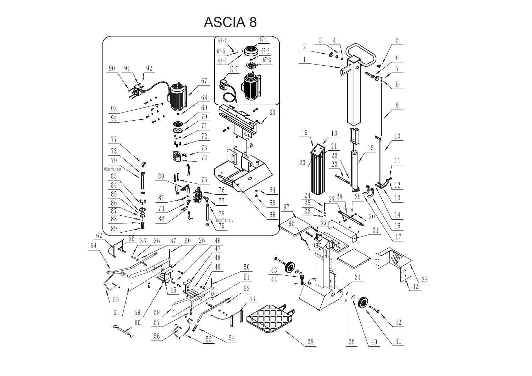

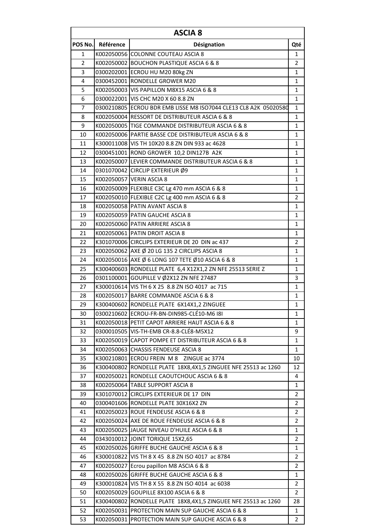| <b>ASCIA 8</b> |            |                                                                  |                |  |  |
|----------------|------------|------------------------------------------------------------------|----------------|--|--|
| POS No.        | Référence  | Désignation                                                      | Qté            |  |  |
| 1              |            | K002050056 COLONNE COUTEAU ASCIA 8                               | 1              |  |  |
| 2              |            | K002050002 BOUCHON PLASTIQUE ASCIA 6 & 8                         | 2              |  |  |
| 3              |            | 0300202001 ECROU HU M20 80kg ZN                                  | $\mathbf{1}$   |  |  |
| 4              |            | 0300452001 RONDELLE GROWER M20                                   | 1              |  |  |
| 5              |            | K002050003 VIS PAPILLON M8X15 ASCIA 6 & 8                        | $\mathbf{1}$   |  |  |
| 6              |            | 0300022001 VIS CHC M20 X 60 8.8 ZN                               | 1              |  |  |
| $\overline{7}$ |            | 0300210805 ECROU BDR EMB LISSE M8 ISO7044 CLE13 CL8 A2K 05020580 | 1              |  |  |
| 8              |            | K002050004 RESSORT DE DISTRIBUTEUR ASCIA 6 & 8                   | $\mathbf{1}$   |  |  |
| 9              |            | K002050005 TIGE COMMANDE DISTRIBUTEUR ASCIA 6 & 8                | $\mathbf{1}$   |  |  |
| 10             |            | K002050006 PARTIE BASSE CDE DISTRIBUTEUR ASCIA 6 & 8             | 1              |  |  |
| 11             |            | K300011008 VIS TH 10X20 8.8 ZN DIN 933 ac 4628                   | $\mathbf{1}$   |  |  |
| 12             |            | 0300451001 ROND GROWER 10,2 DIN127B A2K                          | 1              |  |  |
| 13             |            | K002050007 LEVIER COMMANDE DISTRIBUTEUR ASCIA 6 & 8              | 1              |  |  |
| 14             |            | 0301070042 CIRCLIP EXTERIEUR Ø9                                  | 1              |  |  |
| 15             |            | K002050057 VERIN ASCIA 8                                         | 1              |  |  |
| 16             |            | K002050009 FLEXIBLE C3C Lg 470 mm ASCIA 6 & 8                    | 1              |  |  |
| 17             |            | K002050010 FLEXIBLE C2C Lg 400 mm ASCIA 6 & 8                    | $\overline{2}$ |  |  |
| 18             |            | K002050058 PATIN AVANT ASCIA 8                                   | 1              |  |  |
| 19             |            | K002050059 PATIN GAUCHE ASCIA 8                                  | 1              |  |  |
| 20             |            | K002050060 PATIN ARRIERE ASCIA 8                                 | $\mathbf{1}$   |  |  |
| 21             |            | K002050061 PATIN DROIT ASCIA 8                                   | 1              |  |  |
| 22             |            | K301070006 CIRCLIPS EXTERIEUR DE 20 DIN ac 437                   | 2              |  |  |
| 23             |            | K002050062 AXE Ø 20 LG 135 2 CIRCLIPS ASCIA 8                    | 1              |  |  |
| 24             |            | K002050016 AXE Ø 6 LONG 107 TETE Ø10 ASCIA 6 & 8                 | 1              |  |  |
| 25             |            | K300400603 RONDELLE PLATE 6,4 X12X1,2 ZN NFE 25513 SERIE Z       | $\mathbf{1}$   |  |  |
| 26             |            | 0301100001 GOUPILLE V Ø2X12 ZN NFE 27487                         | 3              |  |  |
| 27             |            | K300010614 VIS TH 6 X 25 8.8 ZN ISO 4017 ac 715                  | 1              |  |  |
| 28             |            | K002050017 BARRE COMMANDE ASCIA 6 & 8                            | 1              |  |  |
| 29             |            | K300400602 RONDELLE PLATE 6X14X1,2 ZINGUEE                       | $\mathbf{1}$   |  |  |
| 30             |            | 0300210602 ECROU-FR-BN-DIN985-CLÉ10-M6 181                       | 1              |  |  |
| 31             |            | K002050018 PETIT CAPOT ARRIERE HAUT ASCIA 6 & 8                  | 1              |  |  |
| 32             |            | 0300010505 VIS-TH-EMB CR-8.8-CLÉ8-M5X12                          | 9              |  |  |
| 33             |            | K002050019 CAPOT POMPE ET DISTRIBUTEUR ASCIA 6 & 8               | 1              |  |  |
| 34             |            | K002050063 CHASSIS FENDEUSE ASCIA 8                              | 1              |  |  |
| 35             |            | K300210801 ECROU FREIN M 8 ZINGUE ac 3774                        | 10             |  |  |
| 36             |            | K300400802 RONDELLE PLATE 18X8,4X1,5 ZINGUEE NFE 25513 ac 1260   | 12             |  |  |
| 37             |            | K002050021 RONDELLE CAOUTCHOUC ASCIA 6 & 8                       | 4              |  |  |
| 38             |            | K002050064 TABLE SUPPORT ASCIA 8                                 | $\mathbf{1}$   |  |  |
| 39             |            | K301070012 CIRCLIPS EXTERIEUR DE 17 DIN                          | $\overline{2}$ |  |  |
| 40             |            | 0300401606 RONDELLE PLATE 30X16X2 ZN                             | 2              |  |  |
| 41             |            | K002050023 ROUE FENDEUSE ASCIA 6 & 8                             | 2              |  |  |
| 42             |            | K002050024 AXE DE ROUE FENDEUSE ASCIA 6 & 8                      | $\overline{2}$ |  |  |
| 43             |            | K002050025 JAUGE NIVEAU D'HUILE ASCIA 6 & 8                      | 1              |  |  |
| 44             |            | 0343010012 JOINT TORIQUE 15X2,65                                 | 2              |  |  |
| 45             |            | K002050026 GRIFFE BUCHE GAUCHE ASCIA 6 & 8                       | 1              |  |  |
| 46             | K300010822 | VIS TH 8 X 45 8.8 ZN ISO 4017 ac 8784                            | 2              |  |  |
| 47             |            | K002050027 Ecrou papillon M8 ASCIA 6 & 8                         | 2              |  |  |
| 48             | K002050026 | GRIFFE BUCHE GAUCHE ASCIA 6 & 8                                  | 1              |  |  |
| 49             | K300010824 | VIS TH 8 X 55 8.8 ZN ISO 4014 ac 6038                            | 2              |  |  |
| 50             | K002050029 | GOUPILLE 8X100 ASCIA 6 & 8                                       | $\overline{2}$ |  |  |
| 51             |            | K300400802 RONDELLE PLATE 18X8,4X1,5 ZINGUEE NFE 25513 ac 1260   | 28             |  |  |
| 52             |            | K002050031 PROTECTION MAIN SUP GAUCHE ASCIA 6 & 8                | 1              |  |  |
| 53             |            | K002050031 PROTECTION MAIN SUP GAUCHE ASCIA 6 & 8                | $\overline{2}$ |  |  |